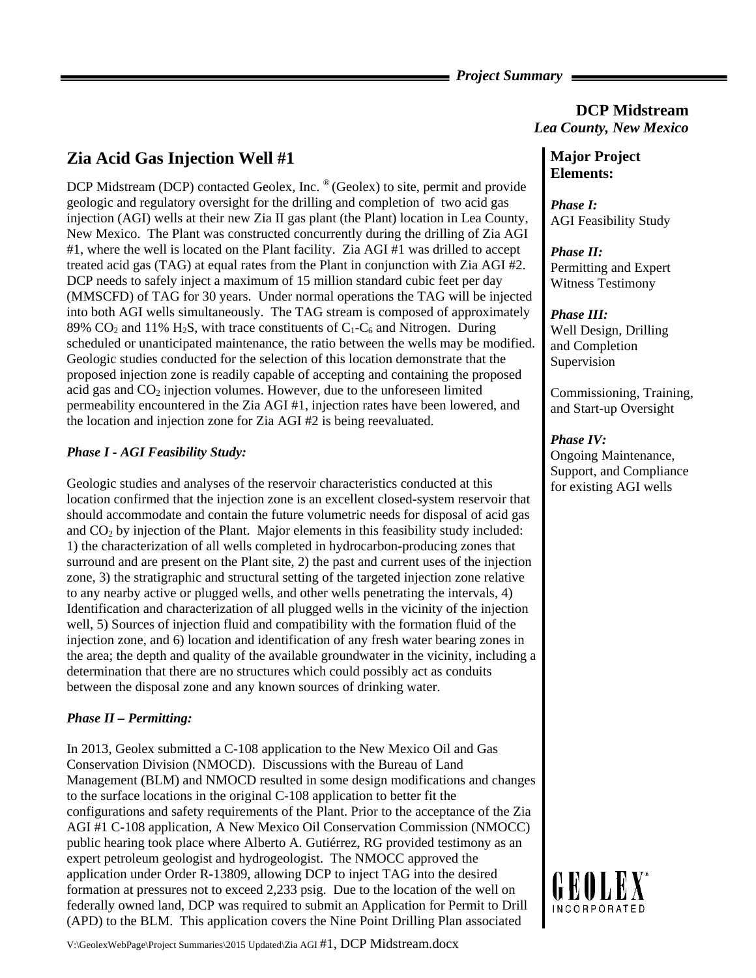### *Project Summary*

# **Zia Acid Gas Injection Well #1**

DCP Midstream (DCP) contacted Geolex, Inc. ® (Geolex) to site, permit and provide geologic and regulatory oversight for the drilling and completion of two acid gas injection (AGI) wells at their new Zia II gas plant (the Plant) location in Lea County, New Mexico. The Plant was constructed concurrently during the drilling of Zia AGI #1, where the well is located on the Plant facility. Zia AGI #1 was drilled to accept treated acid gas (TAG) at equal rates from the Plant in conjunction with Zia AGI #2. DCP needs to safely inject a maximum of 15 million standard cubic feet per day (MMSCFD) of TAG for 30 years. Under normal operations the TAG will be injected into both AGI wells simultaneously. The TAG stream is composed of approximately 89% CO<sub>2</sub> and 11% H<sub>2</sub>S, with trace constituents of  $C_1$ -C<sub>6</sub> and Nitrogen. During scheduled or unanticipated maintenance, the ratio between the wells may be modified. Geologic studies conducted for the selection of this location demonstrate that the proposed injection zone is readily capable of accepting and containing the proposed acid gas and  $CO<sub>2</sub>$  injection volumes. However, due to the unforeseen limited permeability encountered in the Zia AGI #1, injection rates have been lowered, and the location and injection zone for Zia AGI #2 is being reevaluated.

## *Phase I - AGI Feasibility Study:*

Geologic studies and analyses of the reservoir characteristics conducted at this location confirmed that the injection zone is an excellent closed-system reservoir that should accommodate and contain the future volumetric needs for disposal of acid gas and  $CO<sub>2</sub>$  by injection of the Plant. Major elements in this feasibility study included: 1) the characterization of all wells completed in hydrocarbon-producing zones that surround and are present on the Plant site, 2) the past and current uses of the injection zone, 3) the stratigraphic and structural setting of the targeted injection zone relative to any nearby active or plugged wells, and other wells penetrating the intervals, 4) Identification and characterization of all plugged wells in the vicinity of the injection well, 5) Sources of injection fluid and compatibility with the formation fluid of the injection zone, and 6) location and identification of any fresh water bearing zones in the area; the depth and quality of the available groundwater in the vicinity, including a determination that there are no structures which could possibly act as conduits between the disposal zone and any known sources of drinking water.

### *Phase II – Permitting:*

In 2013, Geolex submitted a C-108 application to the New Mexico Oil and Gas Conservation Division (NMOCD). Discussions with the Bureau of Land Management (BLM) and NMOCD resulted in some design modifications and changes to the surface locations in the original C-108 application to better fit the configurations and safety requirements of the Plant. Prior to the acceptance of the Zia AGI #1 C-108 application, A New Mexico Oil Conservation Commission (NMOCC) public hearing took place where Alberto A. Gutiérrez, RG provided testimony as an expert petroleum geologist and hydrogeologist. The NMOCC approved the application under Order R-13809, allowing DCP to inject TAG into the desired formation at pressures not to exceed 2,233 psig. Due to the location of the well on federally owned land, DCP was required to submit an Application for Permit to Drill (APD) to the BLM. This application covers the Nine Point Drilling Plan associated

# **Major Project Elements:**

*Phase I:*  AGI Feasibility Study

*Lea County, New Mexico* 

**DCP Midstream** 

*Phase II:*  Permitting and Expert Witness Testimony

### *Phase III:*

Well Design, Drilling and Completion Supervision

Commissioning, Training, and Start-up Oversight

#### *Phase IV:*

Ongoing Maintenance, Support, and Compliance for existing AGI wells